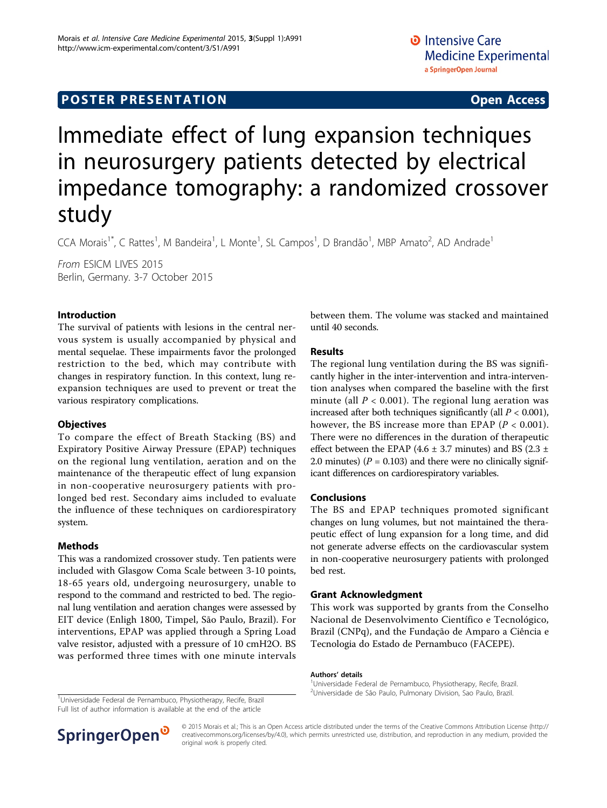# **POSTER PRESENTATION CONSUMING ACCESS**

# Immediate effect of lung expansion techniques in neurosurgery patients detected by electrical impedance tomography: a randomized crossover study

CCA Morais<sup>1\*</sup>, C Rattes<sup>1</sup>, M Bandeira<sup>1</sup>, L Monte<sup>1</sup>, SL Campos<sup>1</sup>, D Brandão<sup>1</sup>, MBP Amato<sup>2</sup>, AD Andrade<sup>1</sup>

From ESICM LIVES 2015 Berlin, Germany. 3-7 October 2015

## Introduction

The survival of patients with lesions in the central nervous system is usually accompanied by physical and mental sequelae. These impairments favor the prolonged restriction to the bed, which may contribute with changes in respiratory function. In this context, lung reexpansion techniques are used to prevent or treat the various respiratory complications.

#### **Objectives**

To compare the effect of Breath Stacking (BS) and Expiratory Positive Airway Pressure (EPAP) techniques on the regional lung ventilation, aeration and on the maintenance of the therapeutic effect of lung expansion in non-cooperative neurosurgery patients with prolonged bed rest. Secondary aims included to evaluate the influence of these techniques on cardiorespiratory system.

# Methods

This was a randomized crossover study. Ten patients were included with Glasgow Coma Scale between 3-10 points, 18-65 years old, undergoing neurosurgery, unable to respond to the command and restricted to bed. The regional lung ventilation and aeration changes were assessed by EIT device (Enligh 1800, Timpel, São Paulo, Brazil). For interventions, EPAP was applied through a Spring Load valve resistor, adjusted with a pressure of 10 cmH2O. BS was performed three times with one minute intervals between them. The volume was stacked and maintained until 40 seconds.

## Results

The regional lung ventilation during the BS was significantly higher in the inter-intervention and intra-intervention analyses when compared the baseline with the first minute (all  $P < 0.001$ ). The regional lung aeration was increased after both techniques significantly (all  $P < 0.001$ ), however, the BS increase more than EPAP ( $P < 0.001$ ). There were no differences in the duration of therapeutic effect between the EPAP (4.6  $\pm$  3.7 minutes) and BS (2.3  $\pm$ 2.0 minutes) ( $P = 0.103$ ) and there were no clinically significant differences on cardiorespiratory variables.

#### Conclusions

The BS and EPAP techniques promoted significant changes on lung volumes, but not maintained the therapeutic effect of lung expansion for a long time, and did not generate adverse effects on the cardiovascular system in non-cooperative neurosurgery patients with prolonged bed rest.

#### Grant Acknowledgment

This work was supported by grants from the Conselho Nacional de Desenvolvimento Científico e Tecnológico, Brazil (CNPq), and the Fundação de Amparo a Ciência e Tecnologia do Estado de Pernambuco (FACEPE).

#### Authors' details <sup>1</sup>

Universidade Federal de Pernambuco, Physiotherapy, Recife, Brazil. <sup>1</sup>Universidade Federal de Pernambuce, Physiotherapy, Pecife, Brazil. <sup>2</sup>Universidade de São Paulo, Pulmonary Division, Sao Paulo, Brazil.

Universidade Federal de Pernambuco, Physiotherapy, Recife, Brazil Full list of author information is available at the end of the article



© 2015 Morais et al.; This is an Open Access article distributed under the terms of the Creative Commons Attribution License [\(http://](http://creativecommons.org/licenses/by/4.0) [creativecommons.org/licenses/by/4.0](http://creativecommons.org/licenses/by/4.0)), which permits unrestricted use, distribution, and reproduction in any medium, provided the original work is properly cited.